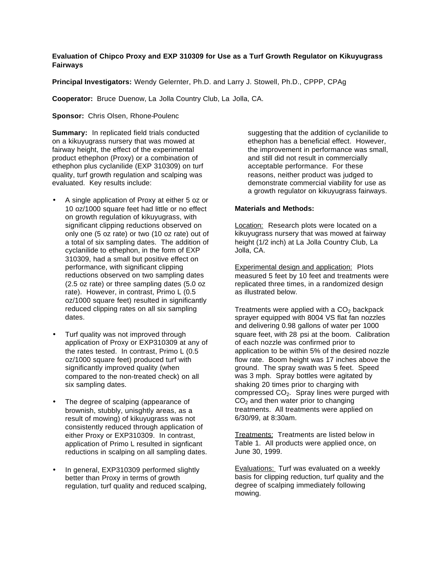## **Evaluation of Chipco Proxy and EXP 310309 for Use as a Turf Growth Regulator on Kikuyugrass Fairways**

**Principal Investigators:** Wendy Gelernter, Ph.D. and Larry J. Stowell, Ph.D., CPPP, CPAg

**Cooperator:** Bruce Duenow, La Jolla Country Club, La Jolla, CA.

**Sponsor:** Chris Olsen, Rhone-Poulenc

**Summary:** In replicated field trials conducted on a kikuyugrass nursery that was mowed at fairway height, the effect of the experimental product ethephon (Proxy) or a combination of ethephon plus cyclanilide (EXP 310309) on turf quality, turf growth regulation and scalping was evaluated. Key results include:

- A single application of Proxy at either 5 oz or 10 oz/1000 square feet had little or no effect on growth regulation of kikuyugrass, with significant clipping reductions observed on only one (5 oz rate) or two (10 oz rate) out of a total of six sampling dates. The addition of cyclanilide to ethephon, in the form of EXP 310309, had a small but positive effect on performance, with significant clipping reductions observed on two sampling dates (2.5 oz rate) or three sampling dates (5.0 oz rate). However, in contrast, Primo L (0.5 oz/1000 square feet) resulted in significantly reduced clipping rates on all six sampling dates.
- Turf quality was not improved through application of Proxy or EXP310309 at any of the rates tested. In contrast, Primo L (0.5 oz/1000 square feet) produced turf with significantly improved quality (when compared to the non-treated check) on all six sampling dates.
- The degree of scalping (appearance of brownish, stubbly, unisghtly areas, as a result of mowing) of kikuyugrass was not consistently reduced through application of either Proxy or EXP310309. In contrast, application of Primo L resulted in signficant reductions in scalping on all sampling dates.
- In general, EXP310309 performed slightly better than Proxy in terms of growth regulation, turf quality and reduced scalping,

suggesting that the addition of cyclanilide to ethephon has a beneficial effect. However, the improvement in performance was small, and still did not result in commercially acceptable performance. For these reasons, neither product was judged to demonstrate commercial viability for use as a growth regulator on kikuyugrass fairways.

## **Materials and Methods:**

Location: Research plots were located on a kikuyugrass nursery that was mowed at fairway height (1/2 inch) at La Jolla Country Club, La Jolla, CA.

**Experimental design and application:** Plots measured 5 feet by 10 feet and treatments were replicated three times, in a randomized design as illustrated below.

Treatments were applied with a  $CO<sub>2</sub>$  backpack sprayer equipped with 8004 VS flat fan nozzles and delivering 0.98 gallons of water per 1000 square feet, with 28 psi at the boom. Calibration of each nozzle was confirmed prior to application to be within 5% of the desired nozzle flow rate. Boom height was 17 inches above the ground. The spray swath was 5 feet. Speed was 3 mph. Spray bottles were agitated by shaking 20 times prior to charging with compressed  $CO<sub>2</sub>$ . Spray lines were purged with  $CO<sub>2</sub>$  and then water prior to changing treatments. All treatments were applied on 6/30/99, at 8:30am.

Treatments: Treatments are listed below in Table 1. All products were applied once, on June 30, 1999.

Evaluations: Turf was evaluated on a weekly basis for clipping reduction, turf quality and the degree of scalping immediately following mowing.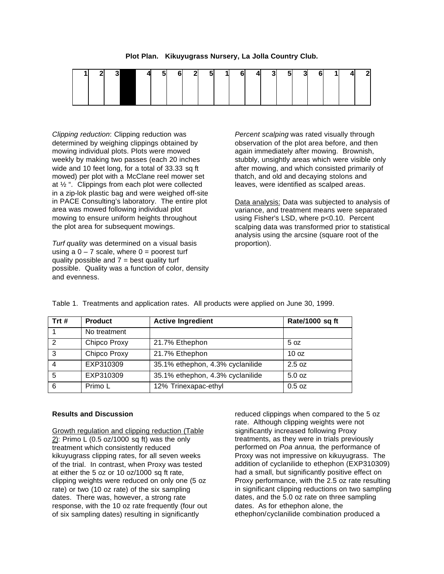|  | ור | 3 | -4 | 5 <sub>5</sub> | 6 | $\mathbf{2}$ | -51 | $\overline{1}$ | 6 | $\overline{4}$ | $\vert$ 3 | $5\overline{)}$ | -3 | 6I |  | $\sim$ |
|--|----|---|----|----------------|---|--------------|-----|----------------|---|----------------|-----------|-----------------|----|----|--|--------|
|  |    |   |    |                |   |              |     |                |   |                |           |                 |    |    |  |        |
|  |    |   |    |                |   |              |     |                |   |                |           |                 |    |    |  |        |
|  |    |   |    |                |   |              |     |                |   |                |           |                 |    |    |  |        |

**Plot Plan. Kikuyugrass Nursery, La Jolla Country Club.**

*Clipping reduction*: Clipping reduction was determined by weighing clippings obtained by mowing individual plots. Plots were mowed weekly by making two passes (each 20 inches wide and 10 feet long, for a total of 33.33 sq ft mowed) per plot with a McClane reel mower set at ½ ". Clippings from each plot were collected in a zip-lok plastic bag and were weighed off-site in PACE Consulting's laboratory. The entire plot area was mowed following individual plot mowing to ensure uniform heights throughout the plot area for subsequent mowings.

*Turf quality* was determined on a visual basis using a  $0 - 7$  scale, where  $0 =$  poorest turf quality possible and  $7 =$  best quality turf possible. Quality was a function of color, density and evenness.

*Percent scalping* was rated visually through observation of the plot area before, and then again immediately after mowing. Brownish, stubbly, unsightly areas which were visible only after mowing, and which consisted primarily of thatch, and old and decaying stolons and leaves, were identified as scalped areas.

Data analysis: Data was subjected to analysis of variance, and treatment means were separated using Fisher's LSD, where p<0.10. Percent scalping data was transformed prior to statistical analysis using the arcsine (square root of the proportion).

| Trt# | <b>Product</b> | <b>Active Ingredient</b>         | Rate/1000 sq ft  |
|------|----------------|----------------------------------|------------------|
|      | No treatment   |                                  |                  |
| 2    | Chipco Proxy   | 21.7% Ethephon                   | 5 oz             |
| 3    | Chipco Proxy   | 21.7% Ethephon                   | 10 <sub>oz</sub> |
| 4    | EXP310309      | 35.1% ethephon, 4.3% cyclanilide | 2.5 oz           |
| 5    | EXP310309      | 35.1% ethephon, 4.3% cyclanilide | 5.0 oz           |
| 6    | Primo L        | 12% Trinexapac-ethyl             | $0.5$ oz         |

Table 1. Treatments and application rates. All products were applied on June 30, 1999.

## **Results and Discussion**

Growth regulation and clipping reduction (Table 2): Primo L (0.5 oz/1000 sq ft) was the only treatment which consistently reduced kikuyugrass clipping rates, for all seven weeks of the trial. In contrast, when Proxy was tested at either the 5 oz or 10 oz/1000 sq ft rate, clipping weights were reduced on only one (5 oz rate) or two (10 oz rate) of the six sampling dates. There was, however, a strong rate response, with the 10 oz rate frequently (four out of six sampling dates) resulting in significantly

reduced clippings when compared to the 5 oz rate. Although clipping weights were not significantly increased following Proxy treatments, as they were in trials previously performed on *Poa annua,* the performance of Proxy was not impressive on kikuyugrass. The addition of cyclanilide to ethephon (EXP310309) had a small, but significantly positive effect on Proxy performance, with the 2.5 oz rate resulting in significant clipping reductions on two sampling dates, and the 5.0 oz rate on three sampling dates. As for ethephon alone, the ethephon/cyclanilide combination produced a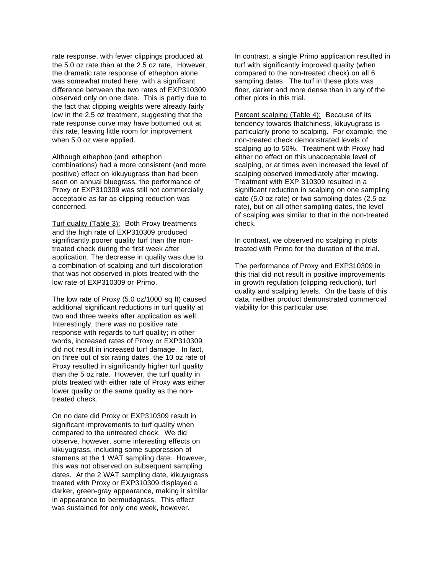rate response, with fewer clippings produced at the 5.0 oz rate than at the 2.5 oz rate, However, the dramatic rate response of ethephon alone was somewhat muted here, with a significant difference between the two rates of EXP310309 observed only on one date. This is partly due to the fact that clipping weights were already fairly low in the 2.5 oz treatment, suggesting that the rate response curve may have bottomed out at this rate, leaving little room for improvement when 5.0 oz were applied.

Although ethephon (and ethephon combinations) had a more consistent (and more positive) effect on kikuyugrass than had been seen on annual bluegrass, the performance of Proxy or EXP310309 was still not commercially acceptable as far as clipping reduction was concerned.

Turf quality (Table 3): Both Proxy treatments and the high rate of EXP310309 produced significantly poorer quality turf than the nontreated check during the first week after application. The decrease in quality was due to a combination of scalping and turf discoloration that was not observed in plots treated with the low rate of EXP310309 or Primo.

The low rate of Proxy (5.0 oz/1000 sq ft) caused additional significant reductions in turf quality at two and three weeks after application as well. Interestingly, there was no positive rate response with regards to turf quality; in other words, increased rates of Proxy or EXP310309 did not result in increased turf damage. In fact, on three out of six rating dates, the 10 oz rate of Proxy resulted in significantly higher turf quality than the 5 oz rate. However, the turf quality in plots treated with either rate of Proxy was either lower quality or the same quality as the nontreated check.

On no date did Proxy or EXP310309 result in significant improvements to turf quality when compared to the untreated check. We did observe, however, some interesting effects on kikuyugrass, including some suppression of stamens at the 1 WAT sampling date. However, this was not observed on subsequent sampling dates. At the 2 WAT sampling date, kikuyugrass treated with Proxy or EXP310309 displayed a darker, green-gray appearance, making it similar in appearance to bermudagrass. This effect was sustained for only one week, however.

In contrast, a single Primo application resulted in turf with significantly improved quality (when compared to the non-treated check) on all 6 sampling dates. The turf in these plots was finer, darker and more dense than in any of the other plots in this trial.

Percent scalping (Table 4): Because of its tendency towards thatchiness, kikuyugrass is particularly prone to scalping. For example, the non-treated check demonstrated levels of scalping up to 50%. Treatment with Proxy had either no effect on this unacceptable level of scalping, or at times even increased the level of scalping observed immediately after mowing. Treatment with EXP 310309 resulted in a significant reduction in scalping on one sampling date (5.0 oz rate) or two sampling dates (2.5 oz rate), but on all other sampling dates, the level of scalping was similar to that in the non-treated check.

In contrast, we observed no scalping in plots treated with Primo for the duration of the trial.

The performance of Proxy and EXP310309 in this trial did not result in positive improvements in growth regulation (clipping reduction), turf quality and scalping levels. On the basis of this data, neither product demonstrated commercial viability for this particular use.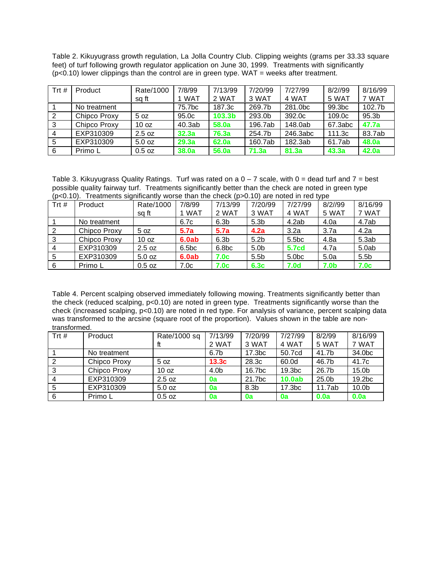Table 2. Kikuyugrass growth regulation, La Jolla Country Club. Clipping weights (grams per 33.33 square feet) of turf following growth regulator application on June 30, 1999. Treatments with significantly  $(p<0.10)$  lower clippings than the control are in green type. WAT = weeks after treatment.

| Trt# | Product      | Rate/1000<br>sa ft | 7/8/99<br>1 WAT | 7/13/99<br>2 WAT | 7/20/99<br>3 WAT | 7/27/99<br>4 WAT | 8/2/99<br>5 WAT | 8/16/99<br>7 WAT  |
|------|--------------|--------------------|-----------------|------------------|------------------|------------------|-----------------|-------------------|
|      | No treatment |                    | 75.7bc          | 187.3c           | 269.7b           | 281.0bc          | 99.3bc          | 102.7b            |
|      | Chipco Proxy | 5 oz               | 95.0c           | 103.3b           | 293.0b           | 392.0c           | 109.0c          | 95.3 <sub>b</sub> |
| 3    | Chipco Proxy | 10 <sub>oz</sub>   | 40.3ab          | 58.0a            | 196.7ab          | 148.0ab          | 67.3abc         | 47.7a             |
|      | EXP310309    | 2.5 oz             | 32.3a           | 76.3a            | 254.7b           | 246.3abc         | 111.3c          | 83.7ab            |
| 5    | EXP310309    | 5.0 oz             | 29.3a           | 62.0a            | 160.7ab          | 182.3ab          | 61.7ab          | 48.0a             |
| 6    | Primo L      | $0.5$ oz           | 38.0a           | 56.0a            | 71.3a            | 81.3a            | 43.3a           | 42.0a             |

Table 3. Kikuyugrass Quality Ratings. Turf was rated on a  $0 - 7$  scale, with  $0 =$  dead turf and  $7 =$  best possible quality fairway turf. Treatments significantly better than the check are noted in green type  $(p<sub>0.10</sub>)$ . Treatments significantly worse than the check (p>0.10) are noted in red type

|       | $(\mathsf{P}^{\mathsf{X}} \mathsf{P}^{\mathsf{X}} \mathsf{P}^{\mathsf{X}})$ . The amount of ground model in the subset of the control of the control of the control of the control of the control of the control of the control of the control of the control |                  |        |                  |                  |                   |             |                  |  |  |  |
|-------|---------------------------------------------------------------------------------------------------------------------------------------------------------------------------------------------------------------------------------------------------------------|------------------|--------|------------------|------------------|-------------------|-------------|------------------|--|--|--|
| Trt # | Product                                                                                                                                                                                                                                                       | Rate/1000        | 7/8/99 | 7/13/99          | 7/20/99          | 7/27/99           | 8/2//99     | 8/16/99          |  |  |  |
|       |                                                                                                                                                                                                                                                               | sg ft            | 1 WAT  | 2 WAT            | 3 WAT            | 4 WAT             | 5 WAT       | 7 WAT            |  |  |  |
|       | No treatment                                                                                                                                                                                                                                                  |                  | 6.7c   | 6.3 <sub>b</sub> | 5.3 <sub>b</sub> | 4.2ab             | 4.0a        | 4.7ab            |  |  |  |
|       | Chipco Proxy                                                                                                                                                                                                                                                  | 5 oz             | 5.7a   | 5.7a             | 4.2a             | 3.2a              | 3.7a        | 4.2a             |  |  |  |
|       | Chipco Proxy                                                                                                                                                                                                                                                  | 10 <sub>oz</sub> | 6.0ab  | 6.3 <sub>b</sub> | 5.2 <sub>b</sub> | 5.5 <sub>bc</sub> | 4.8a        | 5.3ab            |  |  |  |
|       | EXP310309                                                                                                                                                                                                                                                     | 2.5 oz           | 6.5bc  | 6.8bc            | 5.0 <sub>b</sub> | <b>5.7cd</b>      | 4.7a        | 5.0ab            |  |  |  |
| 5     | EXP310309                                                                                                                                                                                                                                                     | 5.0 oz           | 6.0ab  | 7.0 <sub>c</sub> | 5.5 <sub>b</sub> | 5.0 <sub>bc</sub> | 5.0a        | 5.5 <sub>b</sub> |  |  |  |
| 6     | Primo L                                                                                                                                                                                                                                                       | $0.5$ oz         | 7.0c   | 7.0c             | 6.3 <sub>c</sub> | 7.0 <sub>d</sub>  | <b>7.0b</b> | 7.0c             |  |  |  |

Table 4. Percent scalping observed immediately following mowing. Treatments significantly better than the check (reduced scalping, p<0.10) are noted in green type. Treatments significantly worse than the check (increased scalping, p<0.10) are noted in red type. For analysis of variance, percent scalping data was transformed to the arcsine (square root of the proportion). Values shown in the table are nontransformed.

| Trt # | Product      | Rate/1000 sq     | 7/13/99           | 7/20/99            | 7/27/99            | 8/2/99            | 8/16/99           |
|-------|--------------|------------------|-------------------|--------------------|--------------------|-------------------|-------------------|
|       |              |                  | 2 WAT             | 3 WAT              | 4 WAT              | 5 WAT             | 7 WAT             |
|       | No treatment |                  | 6.7b              | 17.3 <sub>bc</sub> | 50.7cd             | 41.7b             | 34.0bc            |
|       | Chipco Proxy | 5 oz             | 13.3 <sub>c</sub> | 28.3c              | 60.0d              | 46.7b             | 41.7c             |
| 3     | Chipco Proxy | 10 <sub>oz</sub> | 4.0b              | 16.7bc             | 19.3 <sub>bc</sub> | 26.7b             | 15.0 <sub>b</sub> |
|       | EXP310309    | 2.5 oz           | 0a                | 21.7bc             | 10.0ab             | 25.0 <sub>b</sub> | 19.2bc            |
|       | EXP310309    | 5.0 oz           | 0a                | 8.3 <sub>b</sub>   | 17.3 <sub>bc</sub> | 11.7ab            | 10.0 <sub>b</sub> |
| 6     | Primo L      | $0.5$ oz         | 0a                | 0a                 | 0a                 | 0.0a              | 0.0a              |